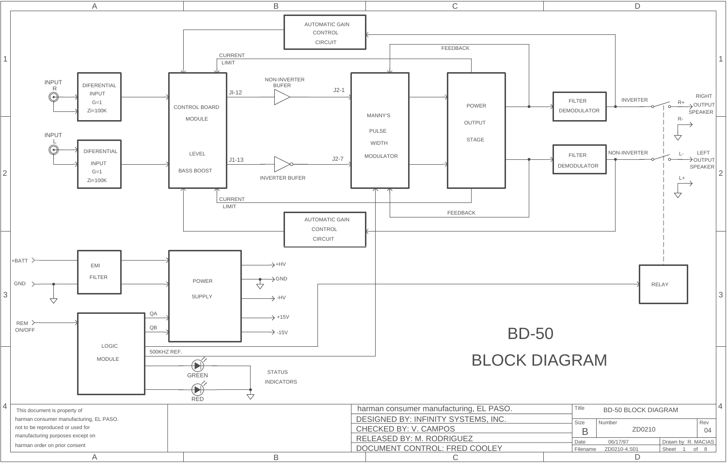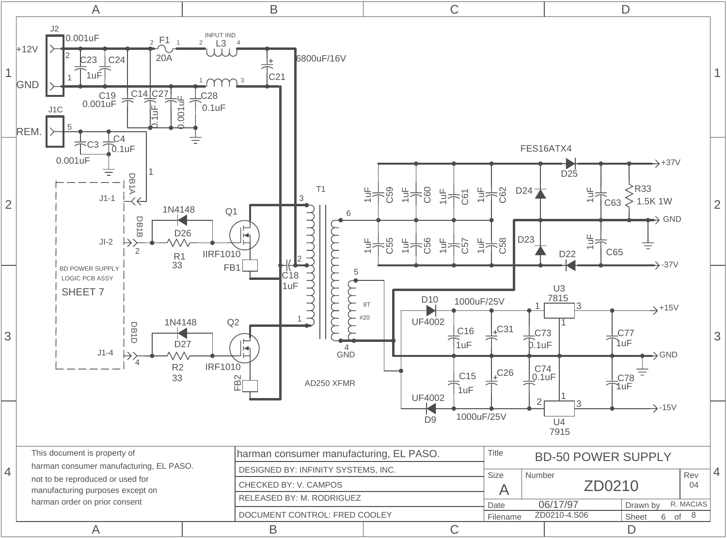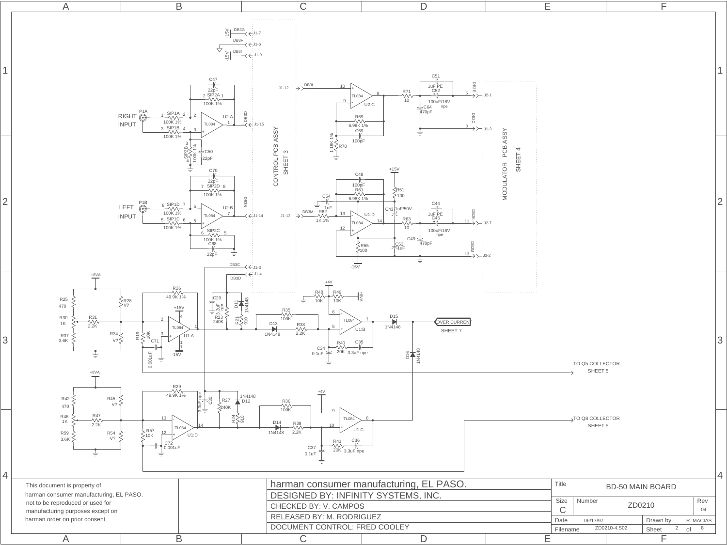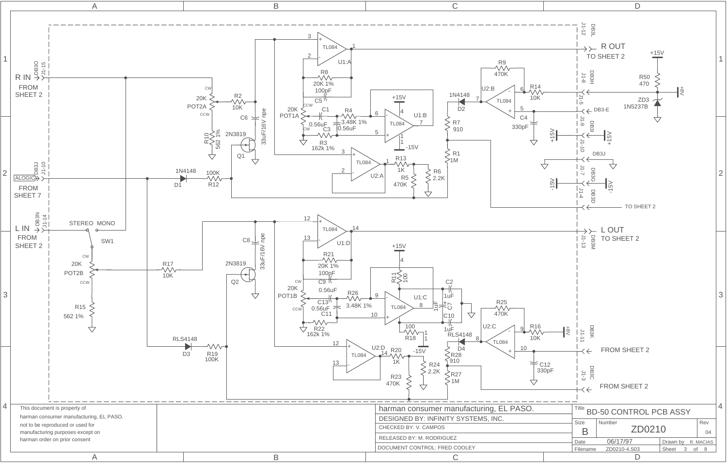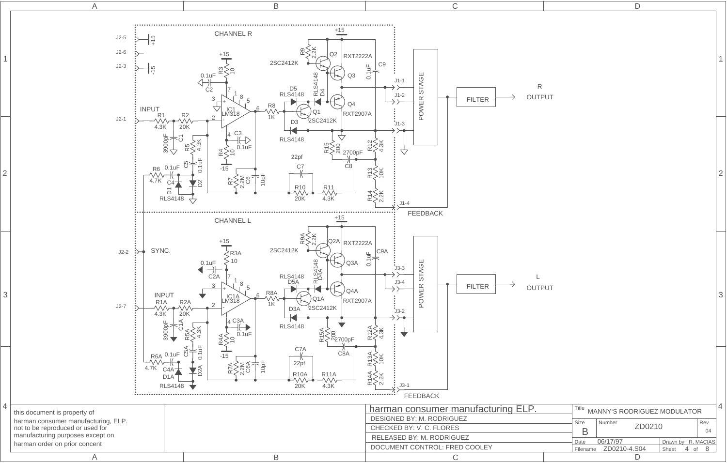

1

2

3

4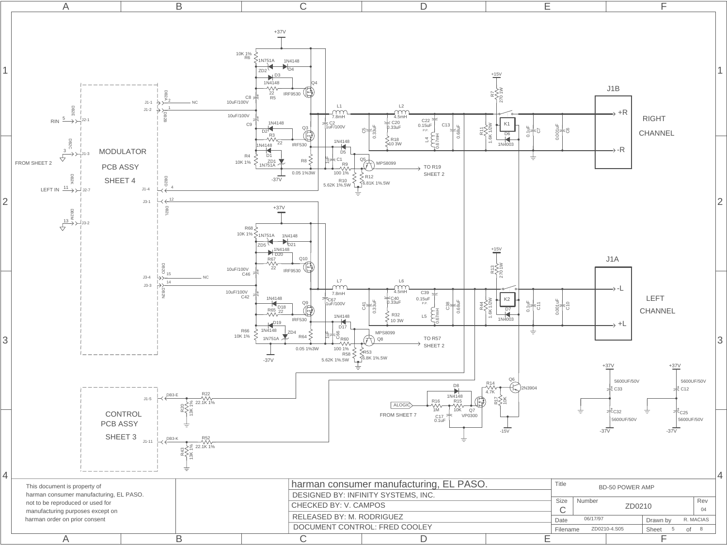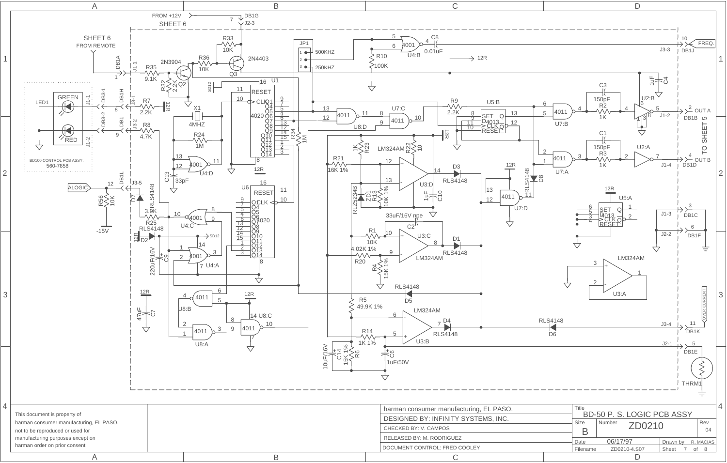